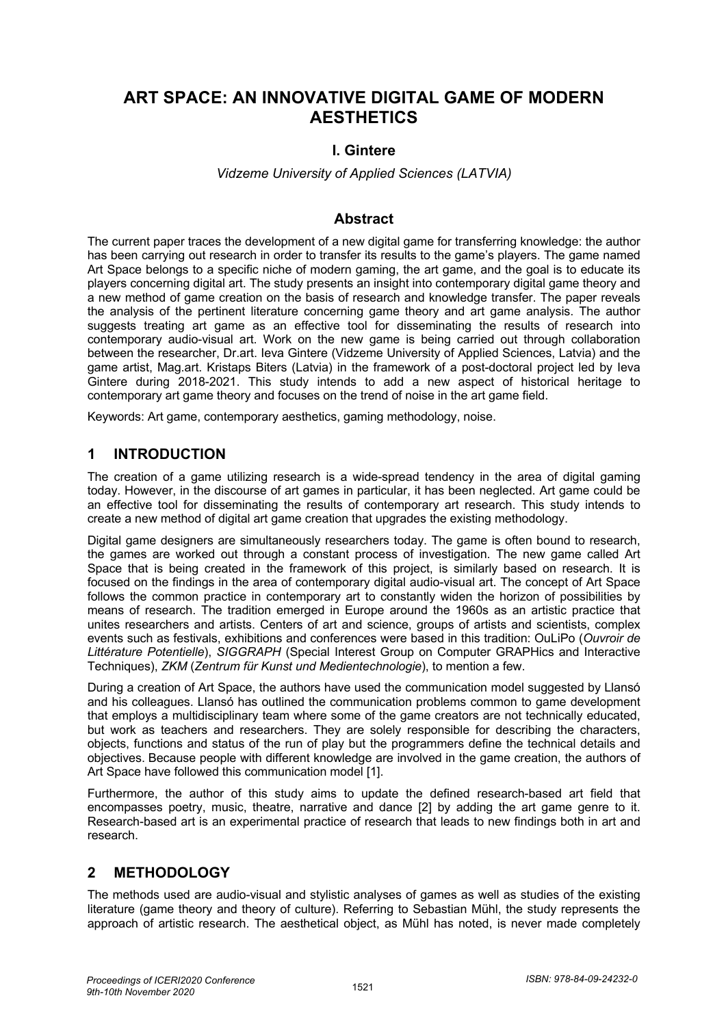# **ART SPACE: AN INNOVATIVE DIGITAL GAME OF MODERN AESTHETICS**

### **I. Gintere**

*Vidzeme University of Applied Sciences (LATVIA)*

#### **Abstract**

The current paper traces the development of a new digital game for transferring knowledge: the author has been carrying out research in order to transfer its results to the game's players. The game named Art Space belongs to a specific niche of modern gaming, the art game, and the goal is to educate its players concerning digital art. The study presents an insight into contemporary digital game theory and a new method of game creation on the basis of research and knowledge transfer. The paper reveals the analysis of the pertinent literature concerning game theory and art game analysis. The author suggests treating art game as an effective tool for disseminating the results of research into contemporary audio-visual art. Work on the new game is being carried out through collaboration between the researcher, Dr.art. Ieva Gintere (Vidzeme University of Applied Sciences, Latvia) and the game artist, Mag.art. Kristaps Biters (Latvia) in the framework of a post-doctoral project led by Ieva Gintere during 2018-2021. This study intends to add a new aspect of historical heritage to contemporary art game theory and focuses on the trend of noise in the art game field.

Keywords: Art game, contemporary aesthetics, gaming methodology, noise.

### **1 INTRODUCTION**

The creation of a game utilizing research is a wide-spread tendency in the area of digital gaming today. However, in the discourse of art games in particular, it has been neglected. Art game could be an effective tool for disseminating the results of contemporary art research. This study intends to create a new method of digital art game creation that upgrades the existing methodology.

Digital game designers are simultaneously researchers today. The game is often bound to research, the games are worked out through a constant process of investigation. The new game called Art Space that is being created in the framework of this project, is similarly based on research. It is focused on the findings in the area of contemporary digital audio-visual art. The concept of Art Space follows the common practice in contemporary art to constantly widen the horizon of possibilities by means of research. The tradition emerged in Europe around the 1960s as an artistic practice that unites researchers and artists. Centers of art and science, groups of artists and scientists, complex events such as festivals, exhibitions and conferences were based in this tradition: OuLiPo (*Ouvroir de Littérature Potentielle*), *SIGGRAPH* (Special Interest Group on Computer GRAPHics and Interactive Techniques), *ZKM* (*Zentrum für Kunst und Medientechnologie*), to mention a few.

During a creation of Art Space, the authors have used the communication model suggested by Llansó and his colleagues. Llansó has outlined the communication problems common to game development that employs a multidisciplinary team where some of the game creators are not technically educated, but work as teachers and researchers. They are solely responsible for describing the characters, objects, functions and status of the run of play but the programmers define the technical details and objectives. Because people with different knowledge are involved in the game creation, the authors of Art Space have followed this communication model [1].

Furthermore, the author of this study aims to update the defined research-based art field that encompasses poetry, music, theatre, narrative and dance [2] by adding the art game genre to it. Research-based art is an experimental practice of research that leads to new findings both in art and research.

### **2 METHODOLOGY**

The methods used are audio-visual and stylistic analyses of games as well as studies of the existing literature (game theory and theory of culture). Referring to Sebastian Mühl, the study represents the approach of artistic research. The aesthetical object, as Mühl has noted, is never made completely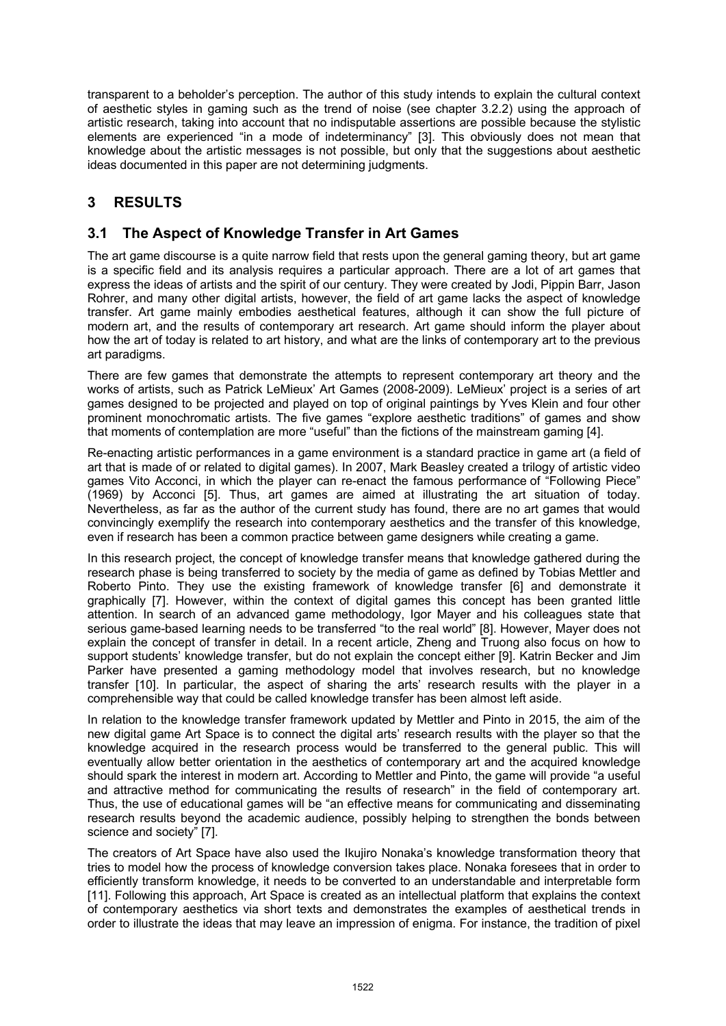transparent to a beholder's perception. The author of this study intends to explain the cultural context of aesthetic styles in gaming such as the trend of noise (see chapter 3.2.2) using the approach of artistic research, taking into account that no indisputable assertions are possible because the stylistic elements are experienced "in a mode of indeterminancy" [3]. This obviously does not mean that knowledge about the artistic messages is not possible, but only that the suggestions about aesthetic ideas documented in this paper are not determining judgments.

# **3 RESULTS**

### **3.1 The Aspect of Knowledge Transfer in Art Games**

The art game discourse is a quite narrow field that rests upon the general gaming theory, but art game is a specific field and its analysis requires a particular approach. There are a lot of art games that express the ideas of artists and the spirit of our century. They were created by Jodi, Pippin Barr, Jason Rohrer, and many other digital artists, however, the field of art game lacks the aspect of knowledge transfer. Art game mainly embodies aesthetical features, although it can show the full picture of modern art, and the results of contemporary art research. Art game should inform the player about how the art of today is related to art history, and what are the links of contemporary art to the previous art paradigms.

There are few games that demonstrate the attempts to represent contemporary art theory and the works of artists, such as Patrick LeMieux' Art Games (2008-2009). LeMieux' project is a series of art games designed to be projected and played on top of original paintings by Yves Klein and four other prominent monochromatic artists. The five games "explore aesthetic traditions" of games and show that moments of contemplation are more "useful" than the fictions of the mainstream gaming [4].

Re-enacting artistic performances in a game environment is a standard practice in game art (a field of art that is made of or related to digital games). In 2007, Mark Beasley created a trilogy of artistic video games Vito Acconci, in which the player can re-enact the famous performance of "Following Piece" (1969) by Acconci [5]. Thus, art games are aimed at illustrating the art situation of today. Nevertheless, as far as the author of the current study has found, there are no art games that would convincingly exemplify the research into contemporary aesthetics and the transfer of this knowledge, even if research has been a common practice between game designers while creating a game.

In this research project, the concept of knowledge transfer means that knowledge gathered during the research phase is being transferred to society by the media of game as defined by Tobias Mettler and Roberto Pinto. They use the existing framework of knowledge transfer [6] and demonstrate it graphically [7]. However, within the context of digital games this concept has been granted little attention. In search of an advanced game methodology, Igor Mayer and his colleagues state that serious game-based learning needs to be transferred "to the real world" [8]. However, Mayer does not explain the concept of transfer in detail. In a recent article, Zheng and Truong also focus on how to support students' knowledge transfer, but do not explain the concept either [9]. Katrin Becker and Jim Parker have presented a gaming methodology model that involves research, but no knowledge transfer [10]. In particular, the aspect of sharing the arts' research results with the player in a comprehensible way that could be called knowledge transfer has been almost left aside.

In relation to the knowledge transfer framework updated by Mettler and Pinto in 2015, the aim of the new digital game Art Space is to connect the digital arts' research results with the player so that the knowledge acquired in the research process would be transferred to the general public. This will eventually allow better orientation in the aesthetics of contemporary art and the acquired knowledge should spark the interest in modern art. According to Mettler and Pinto, the game will provide "a useful and attractive method for communicating the results of research" in the field of contemporary art. Thus, the use of educational games will be "an effective means for communicating and disseminating research results beyond the academic audience, possibly helping to strengthen the bonds between science and society" [7].

The creators of Art Space have also used the Ikujiro Nonaka's knowledge transformation theory that tries to model how the process of knowledge conversion takes place. Nonaka foresees that in order to efficiently transform knowledge, it needs to be converted to an understandable and interpretable form [11]. Following this approach, Art Space is created as an intellectual platform that explains the context of contemporary aesthetics via short texts and demonstrates the examples of aesthetical trends in order to illustrate the ideas that may leave an impression of enigma. For instance, the tradition of pixel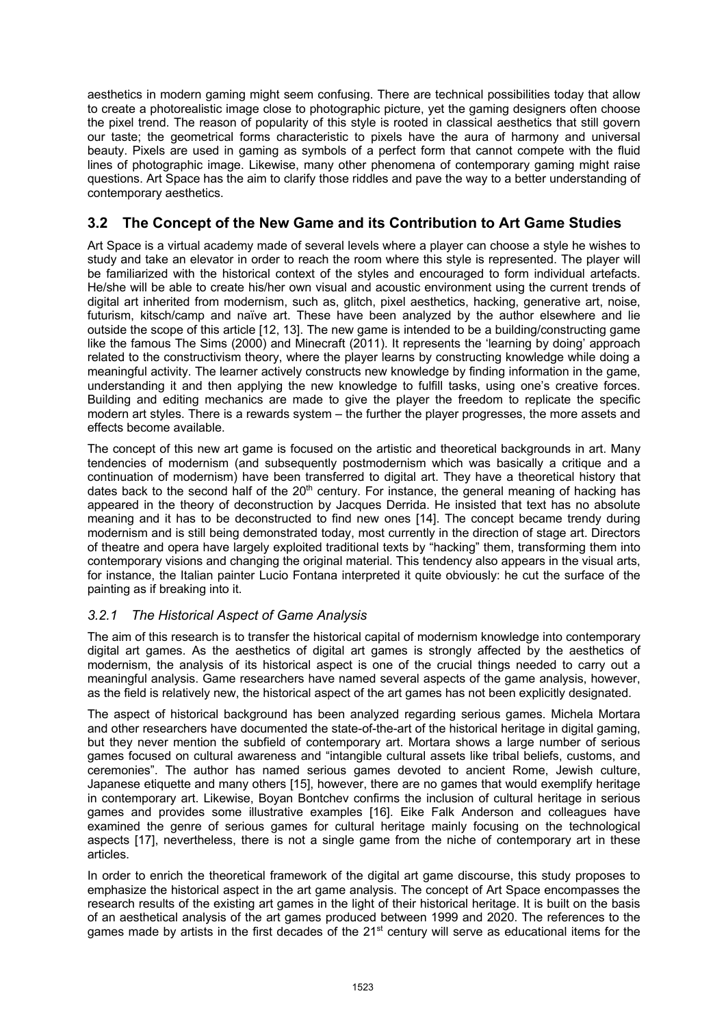aesthetics in modern gaming might seem confusing. There are technical possibilities today that allow to create a photorealistic image close to photographic picture, yet the gaming designers often choose the pixel trend. The reason of popularity of this style is rooted in classical aesthetics that still govern our taste; the geometrical forms characteristic to pixels have the aura of harmony and universal beauty. Pixels are used in gaming as symbols of a perfect form that cannot compete with the fluid lines of photographic image. Likewise, many other phenomena of contemporary gaming might raise questions. Art Space has the aim to clarify those riddles and pave the way to a better understanding of contemporary aesthetics.

## **3.2 The Concept of the New Game and its Contribution to Art Game Studies**

Art Space is a virtual academy made of several levels where a player can choose a style he wishes to study and take an elevator in order to reach the room where this style is represented. The player will be familiarized with the historical context of the styles and encouraged to form individual artefacts. He/she will be able to create his/her own visual and acoustic environment using the current trends of digital art inherited from modernism, such as, glitch, pixel aesthetics, hacking, generative art, noise, futurism, kitsch/camp and naïve art. These have been analyzed by the author elsewhere and lie outside the scope of this article [12, 13]. The new game is intended to be a building/constructing game like the famous The Sims (2000) and Minecraft (2011). It represents the 'learning by doing' approach related to the constructivism theory, where the player learns by constructing knowledge while doing a meaningful activity. The learner actively constructs new knowledge by finding information in the game, understanding it and then applying the new knowledge to fulfill tasks, using one's creative forces. Building and editing mechanics are made to give the player the freedom to replicate the specific modern art styles. There is a rewards system – the further the player progresses, the more assets and effects become available.

The concept of this new art game is focused on the artistic and theoretical backgrounds in art. Many tendencies of modernism (and subsequently postmodernism which was basically a critique and a continuation of modernism) have been transferred to digital art. They have a theoretical history that dates back to the second half of the  $20<sup>th</sup>$  century. For instance, the general meaning of hacking has appeared in the theory of deconstruction by Jacques Derrida. He insisted that text has no absolute meaning and it has to be deconstructed to find new ones [14]. The concept became trendy during modernism and is still being demonstrated today, most currently in the direction of stage art. Directors of theatre and opera have largely exploited traditional texts by "hacking" them, transforming them into contemporary visions and changing the original material. This tendency also appears in the visual arts, for instance, the Italian painter Lucio Fontana interpreted it quite obviously: he cut the surface of the painting as if breaking into it.

#### *3.2.1 The Historical Aspect of Game Analysis*

The aim of this research is to transfer the historical capital of modernism knowledge into contemporary digital art games. As the aesthetics of digital art games is strongly affected by the aesthetics of modernism, the analysis of its historical aspect is one of the crucial things needed to carry out a meaningful analysis. Game researchers have named several aspects of the game analysis, however, as the field is relatively new, the historical aspect of the art games has not been explicitly designated.

The aspect of historical background has been analyzed regarding serious games. Michela Mortara and other researchers have documented the state-of-the-art of the historical heritage in digital gaming, but they never mention the subfield of contemporary art. Mortara shows a large number of serious games focused on cultural awareness and "intangible cultural assets like tribal beliefs, customs, and ceremonies". The author has named serious games devoted to ancient Rome, Jewish culture, Japanese etiquette and many others [15], however, there are no games that would exemplify heritage in contemporary art. Likewise, Boyan Bontchev confirms the inclusion of cultural heritage in serious games and provides some illustrative examples [16]. Eike Falk Anderson and colleagues have examined the genre of serious games for cultural heritage mainly focusing on the technological aspects [17], nevertheless, there is not a single game from the niche of contemporary art in these articles.

In order to enrich the theoretical framework of the digital art game discourse, this study proposes to emphasize the historical aspect in the art game analysis. The concept of Art Space encompasses the research results of the existing art games in the light of their historical heritage. It is built on the basis of an aesthetical analysis of the art games produced between 1999 and 2020. The references to the games made by artists in the first decades of the  $21<sup>st</sup>$  century will serve as educational items for the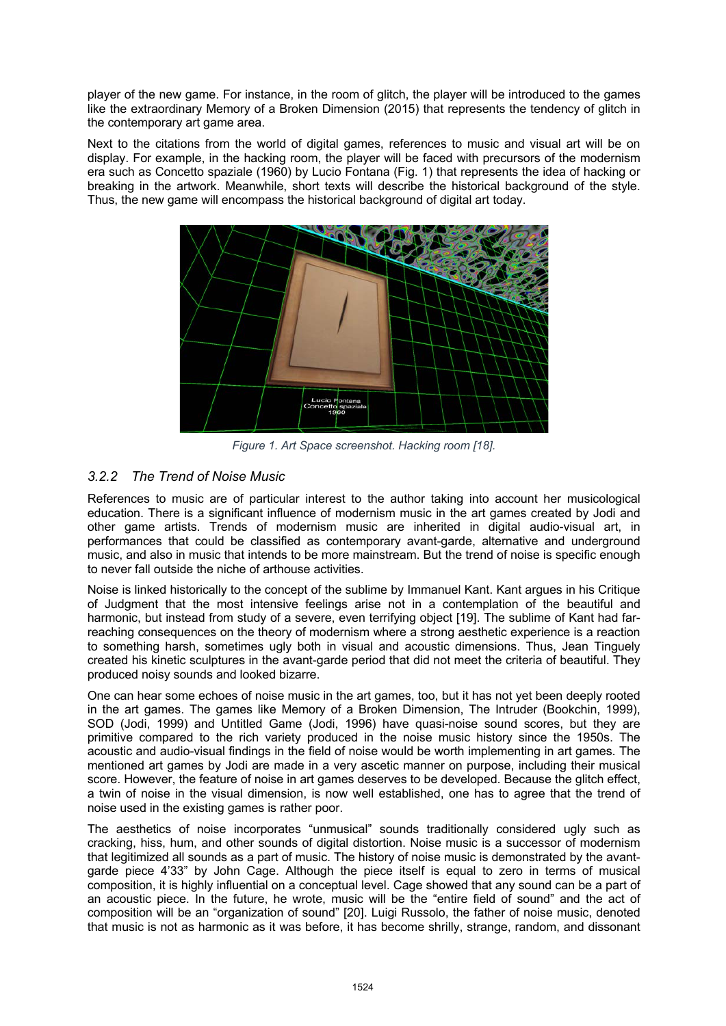player of the new game. For instance, in the room of glitch, the player will be introduced to the games like the extraordinary Memory of a Broken Dimension (2015) that represents the tendency of glitch in the contemporary art game area.

Next to the citations from the world of digital games, references to music and visual art will be on display. For example, in the hacking room, the player will be faced with precursors of the modernism era such as Concetto spaziale (1960) by Lucio Fontana (Fig. 1) that represents the idea of hacking or breaking in the artwork. Meanwhile, short texts will describe the historical background of the style. Thus, the new game will encompass the historical background of digital art today.



*Figure 1. Art Space screenshot. Hacking room [18].* 

### *3.2.2 The Trend of Noise Music*

References to music are of particular interest to the author taking into account her musicological education. There is a significant influence of modernism music in the art games created by Jodi and other game artists. Trends of modernism music are inherited in digital audio-visual art, in performances that could be classified as contemporary avant-garde, alternative and underground music, and also in music that intends to be more mainstream. But the trend of noise is specific enough to never fall outside the niche of arthouse activities.

Noise is linked historically to the concept of the sublime by Immanuel Kant. Kant argues in his Critique of Judgment that the most intensive feelings arise not in a contemplation of the beautiful and harmonic, but instead from study of a severe, even terrifying object [19]. The sublime of Kant had farreaching consequences on the theory of modernism where a strong aesthetic experience is a reaction to something harsh, sometimes ugly both in visual and acoustic dimensions. Thus, Jean Tinguely created his kinetic sculptures in the avant-garde period that did not meet the criteria of beautiful. They produced noisy sounds and looked bizarre.

One can hear some echoes of noise music in the art games, too, but it has not yet been deeply rooted in the art games. The games like Memory of a Broken Dimension, The Intruder (Bookchin, 1999), SOD (Jodi, 1999) and Untitled Game (Jodi, 1996) have quasi-noise sound scores, but they are primitive compared to the rich variety produced in the noise music history since the 1950s. The acoustic and audio-visual findings in the field of noise would be worth implementing in art games. The mentioned art games by Jodi are made in a very ascetic manner on purpose, including their musical score. However, the feature of noise in art games deserves to be developed. Because the glitch effect, a twin of noise in the visual dimension, is now well established, one has to agree that the trend of noise used in the existing games is rather poor.

The aesthetics of noise incorporates "unmusical" sounds traditionally considered ugly such as cracking, hiss, hum, and other sounds of digital distortion. Noise music is a successor of modernism that legitimized all sounds as a part of music. The history of noise music is demonstrated by the avantgarde piece 4'33" by John Cage. Although the piece itself is equal to zero in terms of musical composition, it is highly influential on a conceptual level. Cage showed that any sound can be a part of an acoustic piece. In the future, he wrote, music will be the "entire field of sound" and the act of composition will be an "organization of sound" [20]. Luigi Russolo, the father of noise music, denoted that music is not as harmonic as it was before, it has become shrilly, strange, random, and dissonant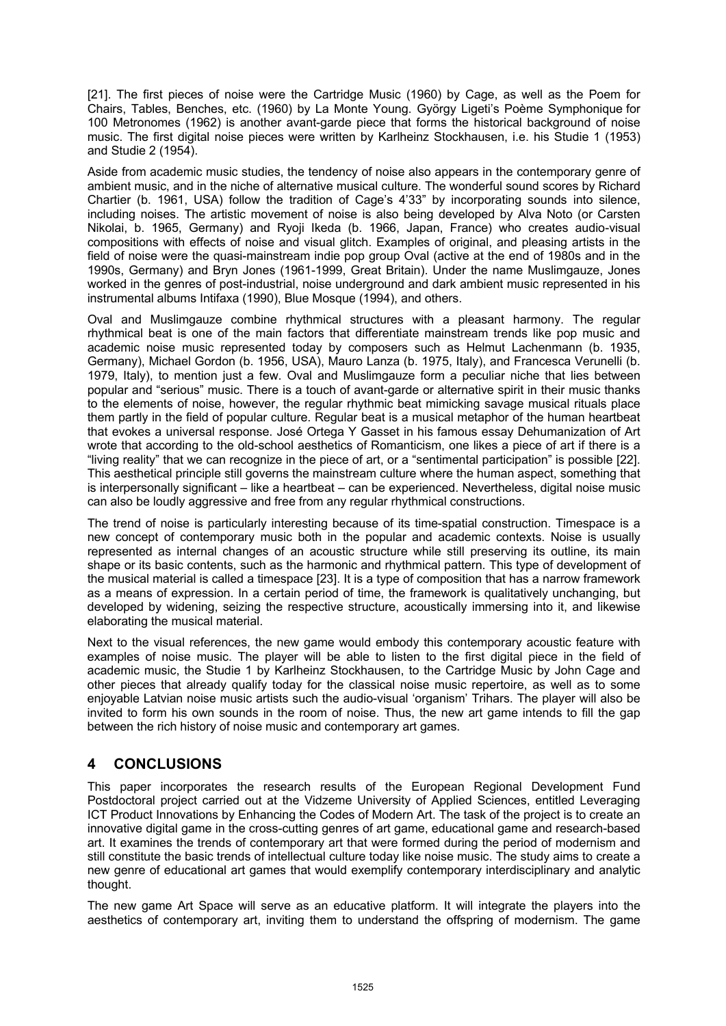[21]. The first pieces of noise were the Cartridge Music (1960) by Cage, as well as the Poem for Chairs, Tables, Benches, etc. (1960) by La Monte Young. György Ligeti's Poème Symphonique for 100 Metronomes (1962) is another avant-garde piece that forms the historical background of noise music. The first digital noise pieces were written by Karlheinz Stockhausen, i.e. his Studie 1 (1953) and Studie 2 (1954).

Aside from academic music studies, the tendency of noise also appears in the contemporary genre of ambient music, and in the niche of alternative musical culture. The wonderful sound scores by Richard Chartier (b. 1961, USA) follow the tradition of Cage's 4'33" by incorporating sounds into silence, including noises. The artistic movement of noise is also being developed by Alva Noto (or Carsten Nikolai, b. 1965, Germany) and Ryoji Ikeda (b. 1966, Japan, France) who creates audio-visual compositions with effects of noise and visual glitch. Examples of original, and pleasing artists in the field of noise were the quasi-mainstream indie pop group Oval (active at the end of 1980s and in the 1990s, Germany) and Bryn Jones (1961-1999, Great Britain). Under the name Muslimgauze, Jones worked in the genres of post-industrial, noise underground and dark ambient music represented in his instrumental albums Intifaxa (1990), Blue Mosque (1994), and others.

Oval and Muslimgauze combine rhythmical structures with a pleasant harmony. The regular rhythmical beat is one of the main factors that differentiate mainstream trends like pop music and academic noise music represented today by composers such as Helmut Lachenmann (b. 1935, Germany), Michael Gordon (b. 1956, USA), Mauro Lanza (b. 1975, Italy), and Francesca Verunelli (b. 1979, Italy), to mention just a few. Oval and Muslimgauze form a peculiar niche that lies between popular and "serious" music. There is a touch of avant-garde or alternative spirit in their music thanks to the elements of noise, however, the regular rhythmic beat mimicking savage musical rituals place them partly in the field of popular culture. Regular beat is a musical metaphor of the human heartbeat that evokes a universal response. José Ortega Y Gasset in his famous essay Dehumanization of Art wrote that according to the old-school aesthetics of Romanticism, one likes a piece of art if there is a "living reality" that we can recognize in the piece of art, or a "sentimental participation" is possible [22]. This aesthetical principle still governs the mainstream culture where the human aspect, something that is interpersonally significant – like a heartbeat – can be experienced. Nevertheless, digital noise music can also be loudly aggressive and free from any regular rhythmical constructions.

The trend of noise is particularly interesting because of its time-spatial construction. Timespace is a new concept of contemporary music both in the popular and academic contexts. Noise is usually represented as internal changes of an acoustic structure while still preserving its outline, its main shape or its basic contents, such as the harmonic and rhythmical pattern. This type of development of the musical material is called a timespace [23]. It is a type of composition that has a narrow framework as a means of expression. In a certain period of time, the framework is qualitatively unchanging, but developed by widening, seizing the respective structure, acoustically immersing into it, and likewise elaborating the musical material.

Next to the visual references, the new game would embody this contemporary acoustic feature with examples of noise music. The player will be able to listen to the first digital piece in the field of academic music, the Studie 1 by Karlheinz Stockhausen, to the Cartridge Music by John Cage and other pieces that already qualify today for the classical noise music repertoire, as well as to some enjoyable Latvian noise music artists such the audio-visual 'organism' Trihars. The player will also be invited to form his own sounds in the room of noise. Thus, the new art game intends to fill the gap between the rich history of noise music and contemporary art games.

## **4 CONCLUSIONS**

This paper incorporates the research results of the European Regional Development Fund Postdoctoral project carried out at the Vidzeme University of Applied Sciences, entitled Leveraging ICT Product Innovations by Enhancing the Codes of Modern Art. The task of the project is to create an innovative digital game in the cross-cutting genres of art game, educational game and research-based art. It examines the trends of contemporary art that were formed during the period of modernism and still constitute the basic trends of intellectual culture today like noise music. The study aims to create a new genre of educational art games that would exemplify contemporary interdisciplinary and analytic thought.

The new game Art Space will serve as an educative platform. It will integrate the players into the aesthetics of contemporary art, inviting them to understand the offspring of modernism. The game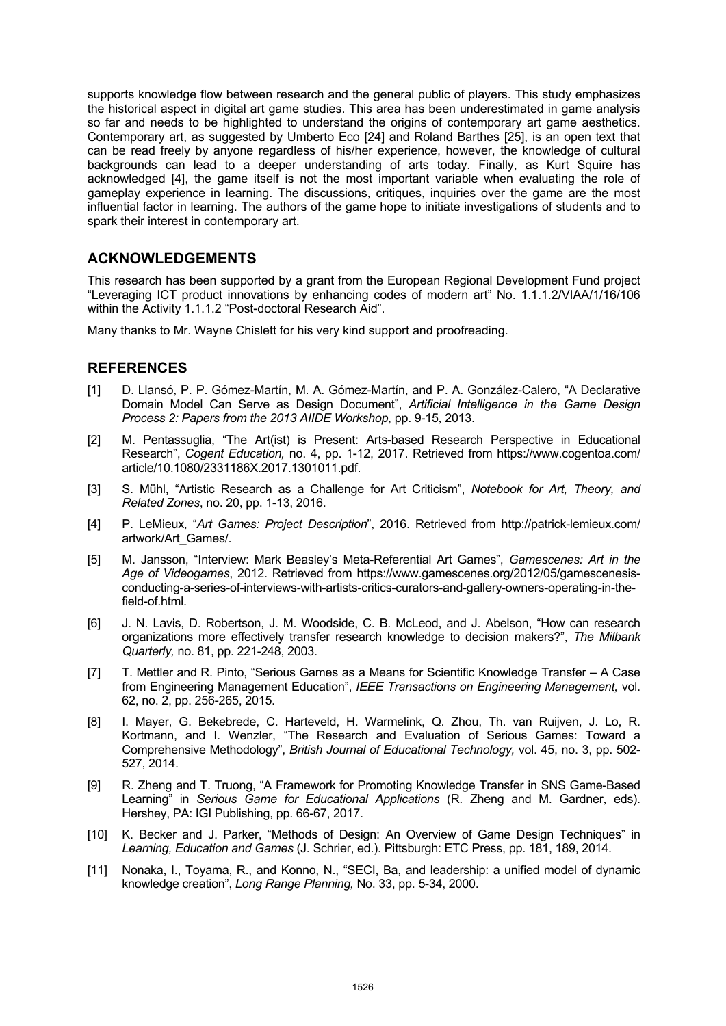supports knowledge flow between research and the general public of players. This study emphasizes the historical aspect in digital art game studies. This area has been underestimated in game analysis so far and needs to be highlighted to understand the origins of contemporary art game aesthetics. Contemporary art, as suggested by Umberto Eco [24] and Roland Barthes [25], is an open text that can be read freely by anyone regardless of his/her experience, however, the knowledge of cultural backgrounds can lead to a deeper understanding of arts today. Finally, as Kurt Squire has acknowledged [4], the game itself is not the most important variable when evaluating the role of gameplay experience in learning. The discussions, critiques, inquiries over the game are the most influential factor in learning. The authors of the game hope to initiate investigations of students and to spark their interest in contemporary art.

### **ACKNOWLEDGEMENTS**

This research has been supported by a grant from the European Regional Development Fund project "Leveraging ICT product innovations by enhancing codes of modern art" No. 1.1.1.2/VIAA/1/16/106 within the Activity 1.1.1.2 "Post-doctoral Research Aid".

Many thanks to Mr. Wayne Chislett for his very kind support and proofreading.

### **REFERENCES**

- [1] D. Llansó, P. P. Gómez-Martín, M. A. Gómez-Martín, and P. A. González-Calero, "A Declarative Domain Model Can Serve as Design Document", *Artificial Intelligence in the Game Design Process 2: Papers from the 2013 AIIDE Workshop*, pp. 9-15, 2013.
- [2] M. Pentassuglia, "The Art(ist) is Present: Arts-based Research Perspective in Educational Research", *Cogent Education,* no. 4, pp. 1-12, 2017. Retrieved from https://www.cogentoa.com/ article/10.1080/2331186X.2017.1301011.pdf.
- [3] S. Mühl, "Artistic Research as a Challenge for Art Criticism", *Notebook for Art, Theory, and Related Zones*, no. 20, pp. 1-13, 2016.
- [4] P. LeMieux, "*Art Games: Project Description*", 2016. Retrieved from http://patrick-lemieux.com/ artwork/Art\_Games/.
- [5] M. Jansson, "Interview: Mark Beasley's Meta-Referential Art Games", *Gamescenes: Art in the Age of Videogames*, 2012. Retrieved from https://www.gamescenes.org/2012/05/gamescenesisconducting-a-series-of-interviews-with-artists-critics-curators-and-gallery-owners-operating-in-thefield-of.html.
- [6] J. N. Lavis, D. Robertson, J. M. Woodside, C. B. McLeod, and J. Abelson, "How can research organizations more effectively transfer research knowledge to decision makers?", *The Milbank Quarterly,* no. 81, pp. 221-248, 2003.
- [7] T. Mettler and R. Pinto, "Serious Games as a Means for Scientific Knowledge Transfer A Case from Engineering Management Education", *IEEE Transactions on Engineering Management,* vol. 62, no. 2, pp. 256-265, 2015.
- [8] I. Mayer, G. Bekebrede, C. Harteveld, H. Warmelink, Q. Zhou, Th. van Ruijven, J. Lo, R. Kortmann, and I. Wenzler, "The Research and Evaluation of Serious Games: Toward a Comprehensive Methodology", *British Journal of Educational Technology,* vol. 45, no. 3, pp. 502- 527, 2014.
- [9] R. Zheng and T. Truong, "A Framework for Promoting Knowledge Transfer in SNS Game-Based Learning" in *Serious Game for Educational Applications* (R. Zheng and M. Gardner, eds). Hershey, PA: IGI Publishing, pp. 66-67, 2017.
- [10] K. Becker and J. Parker, "Methods of Design: An Overview of Game Design Techniques" in *Learning, Education and Games* (J. Schrier, ed.). Pittsburgh: ETC Press, pp. 181, 189, 2014.
- [11] Nonaka, I., Toyama, R., and Konno, N., "SECI, Ba, and leadership: a unified model of dynamic knowledge creation", *Long Range Planning,* No. 33, pp. 5-34, 2000.